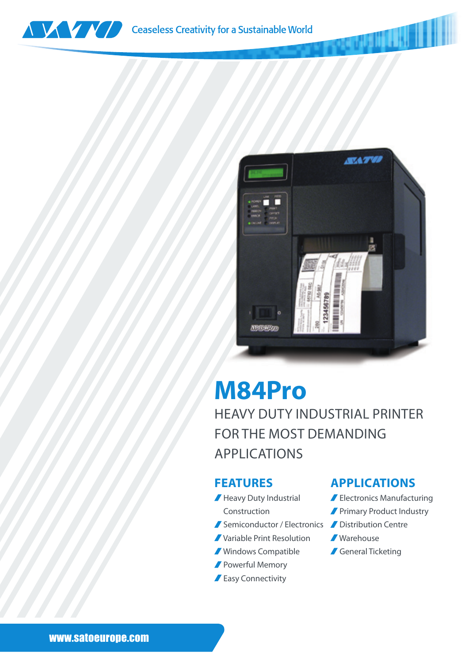



## **M84Pro**

HEAVY DUTY INDUSTRIAL PRINTER FOR THE MOST DEMANDING APPLICATIONS

## **FEATURES**

- Heavy Duty Industrial Construction
	-
- Variable Print Resolution
- Windows Compatible
- **Powerful Memory**
- **Easy Connectivity**

## **APPLICATIONS**

- Electronics Manufacturing
- **Primary Product Industry**
- Semiconductor / Electronics / Distribution Centre
	- Warehouse
	- General Ticketing